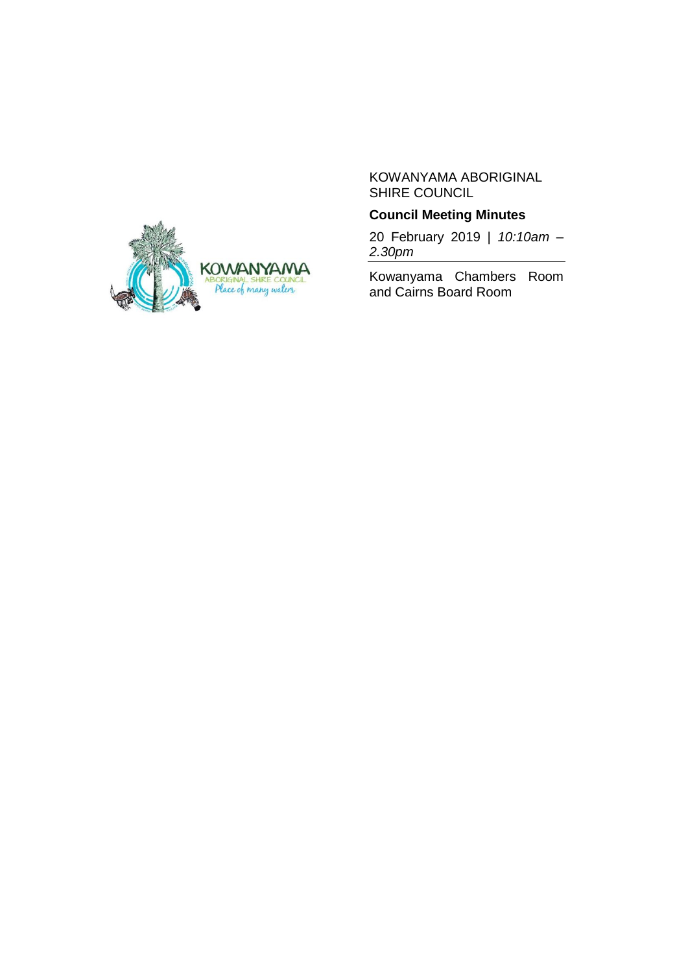

## KOWANYAMA ABORIGINAL SHIRE COUNCIL

# **Council Meeting Minutes**

20 February 2019 | *10:10am – 2.30pm*

Kowanyama Chambers Room and Cairns Board Room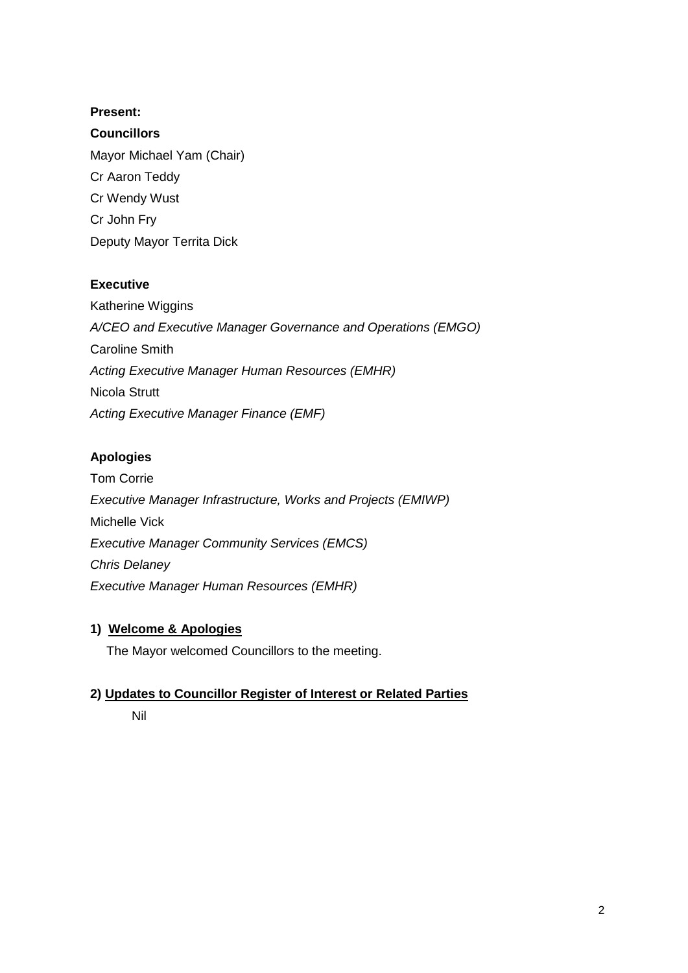# **Present:**

**Councillors** Mayor Michael Yam (Chair) Cr Aaron Teddy Cr Wendy Wust Cr John Fry Deputy Mayor Territa Dick

# **Executive**

Katherine Wiggins *A/CEO and Executive Manager Governance and Operations (EMGO)* Caroline Smith *Acting Executive Manager Human Resources (EMHR)* Nicola Strutt *Acting Executive Manager Finance (EMF)*

# **Apologies**

Tom Corrie *Executive Manager Infrastructure, Works and Projects (EMIWP)* Michelle Vick *Executive Manager Community Services (EMCS) Chris Delaney Executive Manager Human Resources (EMHR)*

# **1) Welcome & Apologies**

The Mayor welcomed Councillors to the meeting.

# **2) Updates to Councillor Register of Interest or Related Parties**

Nil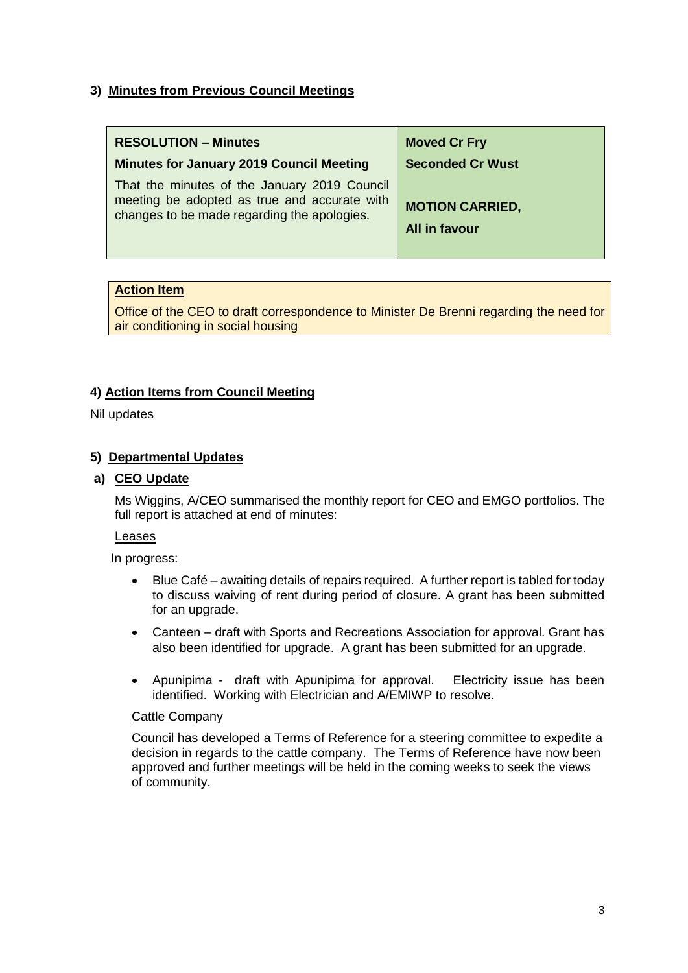# **3) Minutes from Previous Council Meetings**

| <b>RESOLUTION - Minutes</b>                                                                                                                 | <b>Moved Cr Fry</b>                     |
|---------------------------------------------------------------------------------------------------------------------------------------------|-----------------------------------------|
| <b>Minutes for January 2019 Council Meeting</b>                                                                                             | <b>Seconded Cr Wust</b>                 |
| That the minutes of the January 2019 Council<br>meeting be adopted as true and accurate with<br>changes to be made regarding the apologies. | <b>MOTION CARRIED,</b><br>All in favour |

## **Action Item**

Office of the CEO to draft correspondence to Minister De Brenni regarding the need for air conditioning in social housing

# **4) Action Items from Council Meeting**

Nil updates

# **5) Departmental Updates**

### **a) CEO Update**

Ms Wiggins, A/CEO summarised the monthly report for CEO and EMGO portfolios. The full report is attached at end of minutes:

#### **Leases**

In progress:

- Blue Café awaiting details of repairs required. A further report is tabled for today to discuss waiving of rent during period of closure. A grant has been submitted for an upgrade.
- Canteen draft with Sports and Recreations Association for approval. Grant has also been identified for upgrade. A grant has been submitted for an upgrade.
- Apunipima draft with Apunipima for approval. Electricity issue has been identified. Working with Electrician and A/EMIWP to resolve.

#### Cattle Company

Council has developed a Terms of Reference for a steering committee to expedite a decision in regards to the cattle company. The Terms of Reference have now been approved and further meetings will be held in the coming weeks to seek the views of community.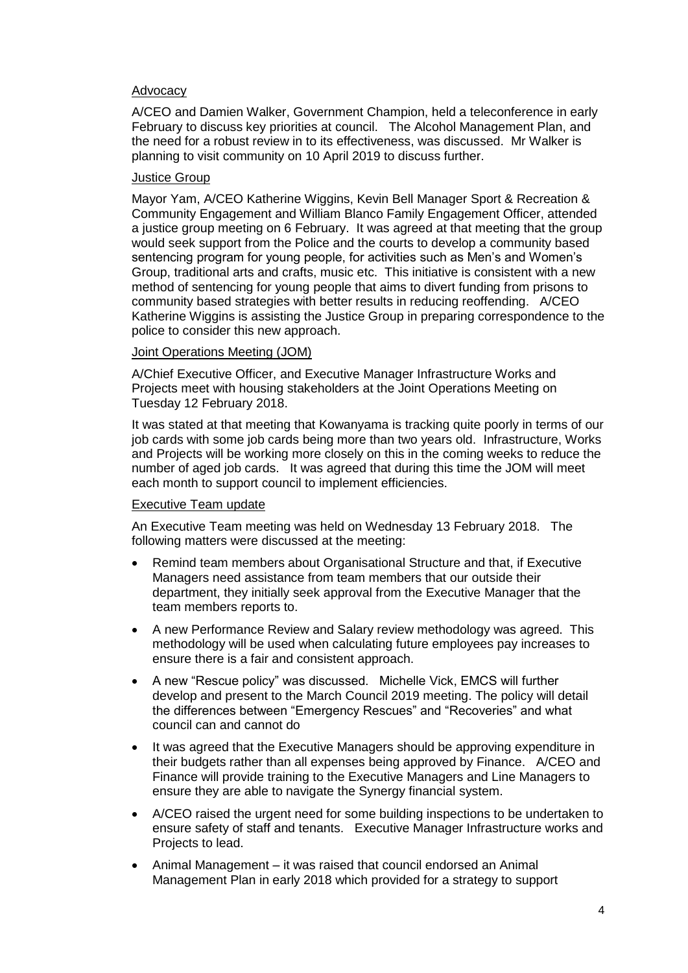### Advocacy

A/CEO and Damien Walker, Government Champion, held a teleconference in early February to discuss key priorities at council. The Alcohol Management Plan, and the need for a robust review in to its effectiveness, was discussed. Mr Walker is planning to visit community on 10 April 2019 to discuss further.

### Justice Group

Mayor Yam, A/CEO Katherine Wiggins, Kevin Bell Manager Sport & Recreation & Community Engagement and William Blanco Family Engagement Officer, attended a justice group meeting on 6 February. It was agreed at that meeting that the group would seek support from the Police and the courts to develop a community based sentencing program for young people, for activities such as Men's and Women's Group, traditional arts and crafts, music etc. This initiative is consistent with a new method of sentencing for young people that aims to divert funding from prisons to community based strategies with better results in reducing reoffending. A/CEO Katherine Wiggins is assisting the Justice Group in preparing correspondence to the police to consider this new approach.

# Joint Operations Meeting (JOM)

A/Chief Executive Officer, and Executive Manager Infrastructure Works and Projects meet with housing stakeholders at the Joint Operations Meeting on Tuesday 12 February 2018.

It was stated at that meeting that Kowanyama is tracking quite poorly in terms of our job cards with some job cards being more than two years old. Infrastructure, Works and Projects will be working more closely on this in the coming weeks to reduce the number of aged job cards. It was agreed that during this time the JOM will meet each month to support council to implement efficiencies.

#### Executive Team update

An Executive Team meeting was held on Wednesday 13 February 2018. The following matters were discussed at the meeting:

- Remind team members about Organisational Structure and that, if Executive Managers need assistance from team members that our outside their department, they initially seek approval from the Executive Manager that the team members reports to.
- A new Performance Review and Salary review methodology was agreed. This methodology will be used when calculating future employees pay increases to ensure there is a fair and consistent approach.
- A new "Rescue policy" was discussed. Michelle Vick, EMCS will further develop and present to the March Council 2019 meeting. The policy will detail the differences between "Emergency Rescues" and "Recoveries" and what council can and cannot do
- It was agreed that the Executive Managers should be approving expenditure in their budgets rather than all expenses being approved by Finance. A/CEO and Finance will provide training to the Executive Managers and Line Managers to ensure they are able to navigate the Synergy financial system.
- A/CEO raised the urgent need for some building inspections to be undertaken to ensure safety of staff and tenants. Executive Manager Infrastructure works and Projects to lead.
- Animal Management it was raised that council endorsed an Animal Management Plan in early 2018 which provided for a strategy to support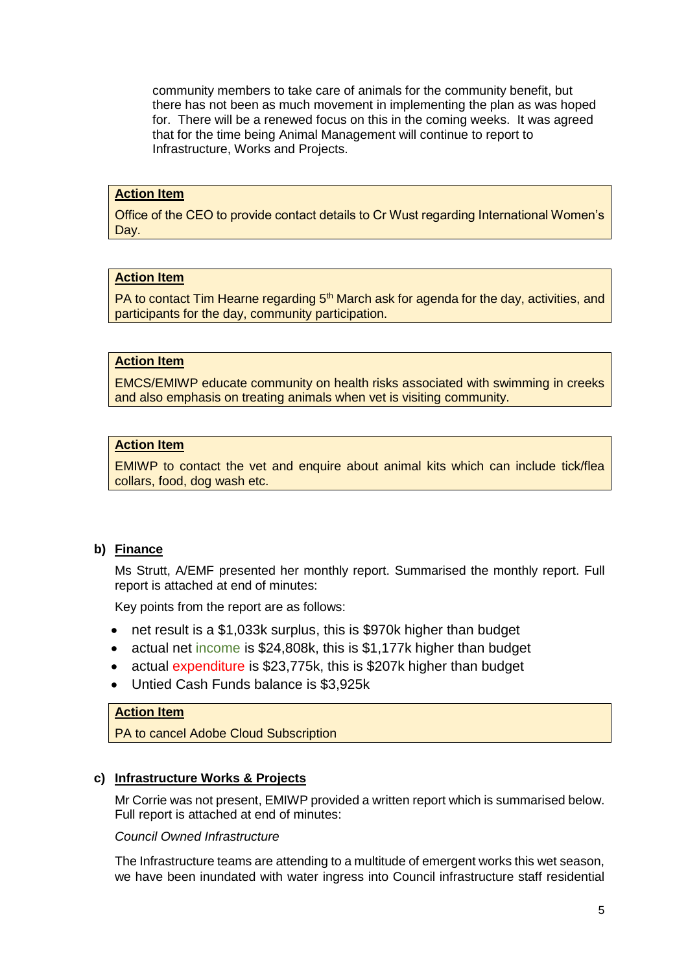community members to take care of animals for the community benefit, but there has not been as much movement in implementing the plan as was hoped for. There will be a renewed focus on this in the coming weeks. It was agreed that for the time being Animal Management will continue to report to Infrastructure, Works and Projects.

#### **Action Item**

Office of the CEO to provide contact details to Cr Wust regarding International Women's Day.

## **Action Item**

PA to contact Tim Hearne regarding  $5<sup>th</sup>$  March ask for agenda for the day, activities, and participants for the day, community participation.

#### **Action Item**

EMCS/EMIWP educate community on health risks associated with swimming in creeks and also emphasis on treating animals when vet is visiting community.

### **Action Item**

EMIWP to contact the vet and enquire about animal kits which can include tick/flea collars, food, dog wash etc.

### **b) Finance**

Ms Strutt, A/EMF presented her monthly report. Summarised the monthly report. Full report is attached at end of minutes:

Key points from the report are as follows:

- net result is a \$1,033k surplus, this is \$970k higher than budget
- actual net income is \$24,808k, this is \$1,177k higher than budget
- actual expenditure is \$23,775k, this is \$207k higher than budget
- Untied Cash Funds balance is \$3,925k

# **Action Item**

PA to cancel Adobe Cloud Subscription

### **c) Infrastructure Works & Projects**

Mr Corrie was not present, EMIWP provided a written report which is summarised below. Full report is attached at end of minutes:

### *Council Owned Infrastructure*

The Infrastructure teams are attending to a multitude of emergent works this wet season, we have been inundated with water ingress into Council infrastructure staff residential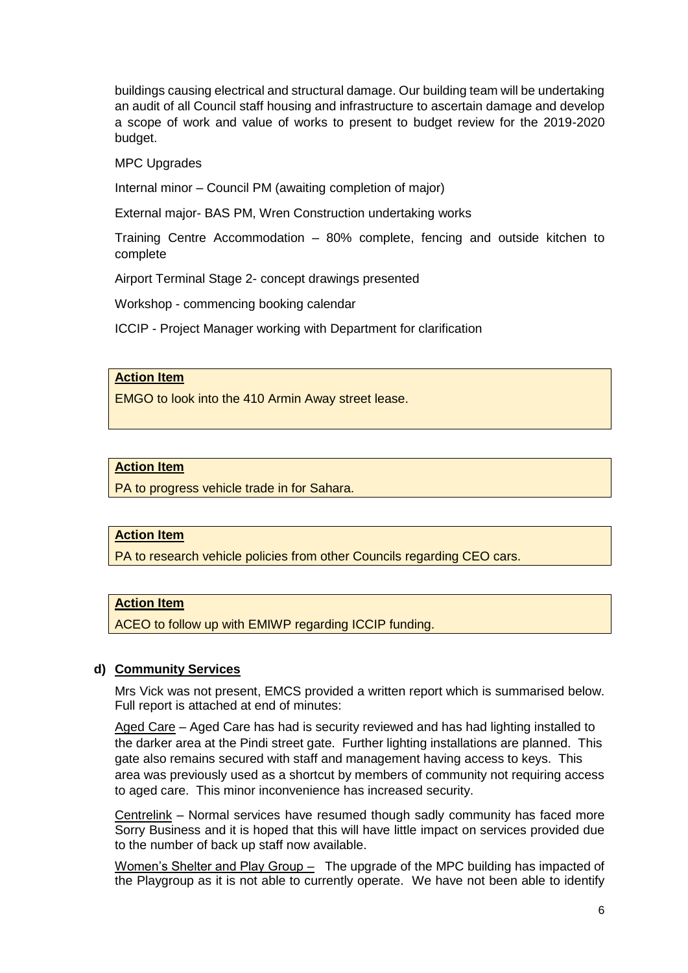buildings causing electrical and structural damage. Our building team will be undertaking an audit of all Council staff housing and infrastructure to ascertain damage and develop a scope of work and value of works to present to budget review for the 2019-2020 budget.

MPC Upgrades

Internal minor – Council PM (awaiting completion of major)

External major- BAS PM, Wren Construction undertaking works

Training Centre Accommodation – 80% complete, fencing and outside kitchen to complete

Airport Terminal Stage 2- concept drawings presented

Workshop - commencing booking calendar

ICCIP - Project Manager working with Department for clarification

## **Action Item**

EMGO to look into the 410 Armin Away street lease.

### **Action Item**

PA to progress vehicle trade in for Sahara.

## **Action Item**

PA to research vehicle policies from other Councils regarding CEO cars.

### **Action Item**

ACEO to follow up with EMIWP regarding ICCIP funding.

#### **d) Community Services**

Mrs Vick was not present, EMCS provided a written report which is summarised below. Full report is attached at end of minutes:

Aged Care – Aged Care has had is security reviewed and has had lighting installed to the darker area at the Pindi street gate. Further lighting installations are planned. This gate also remains secured with staff and management having access to keys. This area was previously used as a shortcut by members of community not requiring access to aged care. This minor inconvenience has increased security.

Centrelink – Normal services have resumed though sadly community has faced more Sorry Business and it is hoped that this will have little impact on services provided due to the number of back up staff now available.

Women's Shelter and Play Group – The upgrade of the MPC building has impacted of the Playgroup as it is not able to currently operate. We have not been able to identify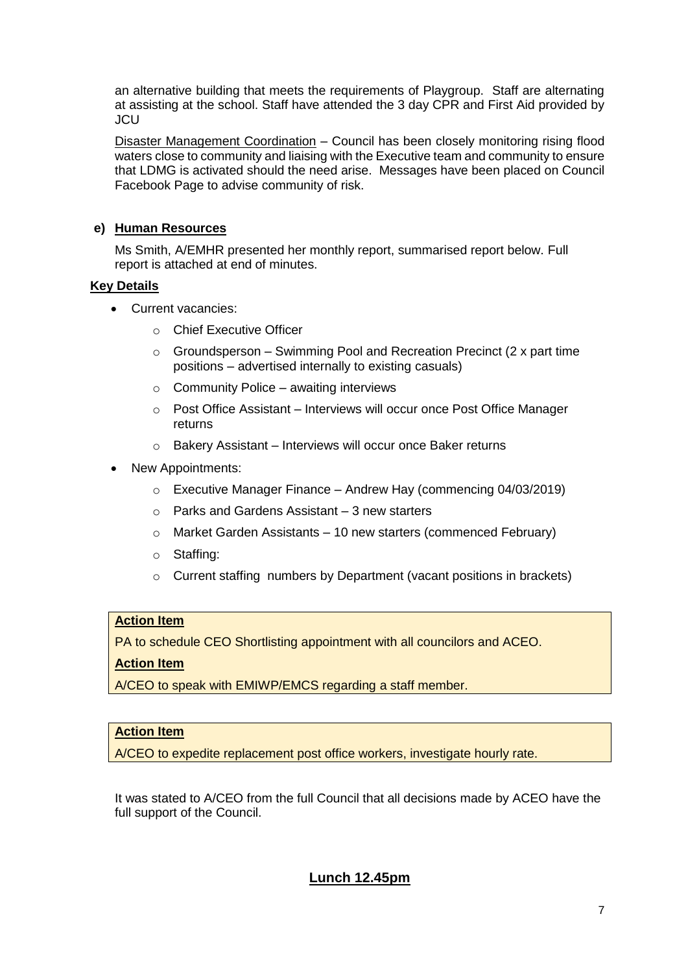an alternative building that meets the requirements of Playgroup. Staff are alternating at assisting at the school. Staff have attended the 3 day CPR and First Aid provided by JCU

Disaster Management Coordination – Council has been closely monitoring rising flood waters close to community and liaising with the Executive team and community to ensure that LDMG is activated should the need arise. Messages have been placed on Council Facebook Page to advise community of risk.

# **e) Human Resources**

Ms Smith, A/EMHR presented her monthly report, summarised report below. Full report is attached at end of minutes.

## **Key Details**

- Current vacancies:
	- o Chief Executive Officer
	- $\circ$  Groundsperson Swimming Pool and Recreation Precinct (2 x part time positions – advertised internally to existing casuals)
	- $\circ$  Community Police awaiting interviews
	- o Post Office Assistant Interviews will occur once Post Office Manager returns
	- o Bakery Assistant Interviews will occur once Baker returns
- New Appointments:
	- $\circ$  Executive Manager Finance Andrew Hay (commencing 04/03/2019)
	- $\circ$  Parks and Gardens Assistant 3 new starters
	- o Market Garden Assistants 10 new starters (commenced February)
	- o Staffing:
	- o Current staffing numbers by Department (vacant positions in brackets)

# **Action Item**

PA to schedule CEO Shortlisting appointment with all councilors and ACEO.

# **Action Item**

A/CEO to speak with EMIWP/EMCS regarding a staff member.

## **Action Item**

A/CEO to expedite replacement post office workers, investigate hourly rate.

It was stated to A/CEO from the full Council that all decisions made by ACEO have the full support of the Council.

# **Lunch 12.45pm**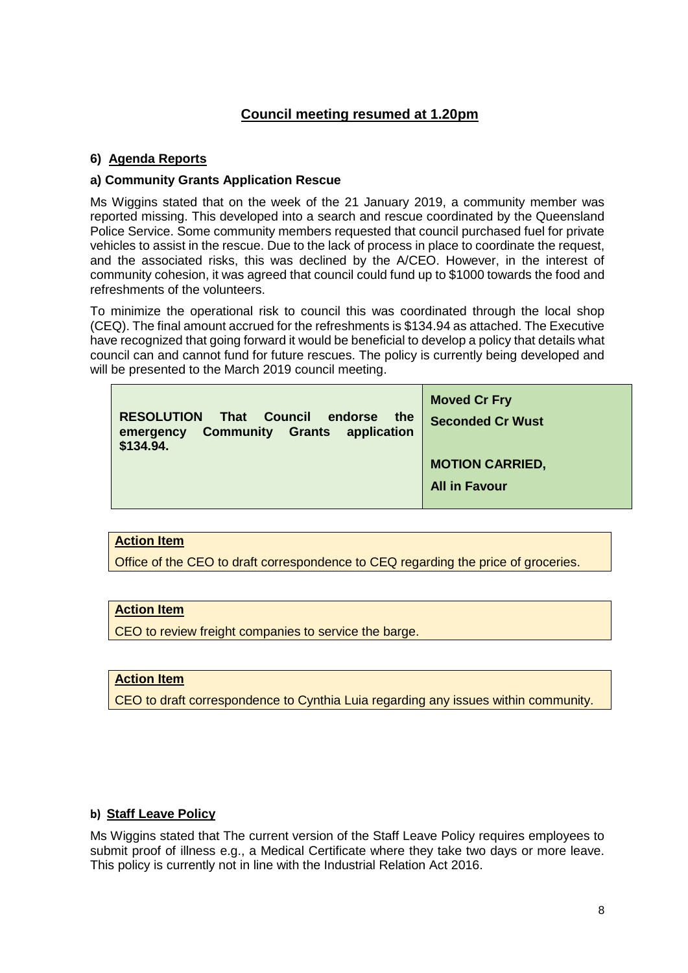# **Council meeting resumed at 1.20pm**

# **6) Agenda Reports**

# **a) Community Grants Application Rescue**

Ms Wiggins stated that on the week of the 21 January 2019, a community member was reported missing. This developed into a search and rescue coordinated by the Queensland Police Service. Some community members requested that council purchased fuel for private vehicles to assist in the rescue. Due to the lack of process in place to coordinate the request, and the associated risks, this was declined by the A/CEO. However, in the interest of community cohesion, it was agreed that council could fund up to \$1000 towards the food and refreshments of the volunteers.

To minimize the operational risk to council this was coordinated through the local shop (CEQ). The final amount accrued for the refreshments is \$134.94 as attached. The Executive have recognized that going forward it would be beneficial to develop a policy that details what council can and cannot fund for future rescues. The policy is currently being developed and will be presented to the March 2019 council meeting.

| <b>RESOLUTION</b><br><b>That Council</b><br>the<br>endorse<br><b>Community Grants</b><br>application<br>emergency<br>\$134.94. | <b>Moved Cr Fry</b><br><b>Seconded Cr Wust</b> |
|--------------------------------------------------------------------------------------------------------------------------------|------------------------------------------------|
|                                                                                                                                | <b>MOTION CARRIED,</b>                         |
|                                                                                                                                | <b>All in Favour</b>                           |

## **Action Item**

Office of the CEO to draft correspondence to CEQ regarding the price of groceries.

# **Action Item**

CEO to review freight companies to service the barge.

## **Action Item**

CEO to draft correspondence to Cynthia Luia regarding any issues within community.

## **b) Staff Leave Policy**

Ms Wiggins stated that The current version of the Staff Leave Policy requires employees to submit proof of illness e.g., a Medical Certificate where they take two days or more leave. This policy is currently not in line with the Industrial Relation Act 2016.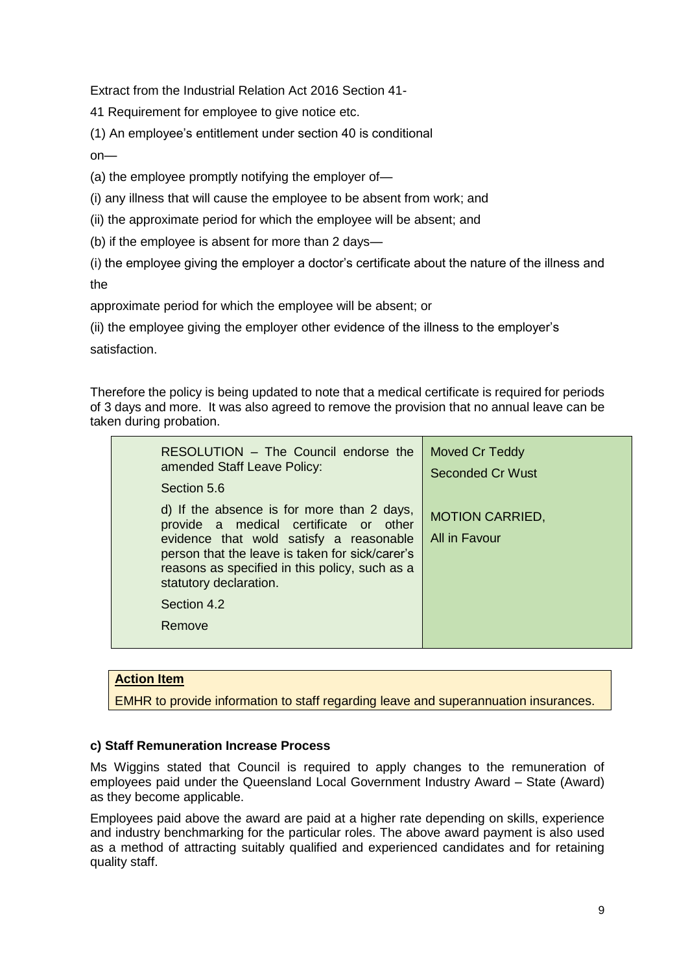Extract from the Industrial Relation Act 2016 Section 41-

41 Requirement for employee to give notice etc.

(1) An employee's entitlement under section 40 is conditional

on—

(a) the employee promptly notifying the employer of—

(i) any illness that will cause the employee to be absent from work; and

(ii) the approximate period for which the employee will be absent; and

(b) if the employee is absent for more than 2 days—

(i) the employee giving the employer a doctor's certificate about the nature of the illness and the

approximate period for which the employee will be absent; or

(ii) the employee giving the employer other evidence of the illness to the employer's satisfaction.

Therefore the policy is being updated to note that a medical certificate is required for periods of 3 days and more. It was also agreed to remove the provision that no annual leave can be taken during probation.

| RESOLUTION – The Council endorse the<br>amended Staff Leave Policy:                                                                                                                                                                                                                     | Moved Cr Teddy<br><b>Seconded Cr Wust</b> |
|-----------------------------------------------------------------------------------------------------------------------------------------------------------------------------------------------------------------------------------------------------------------------------------------|-------------------------------------------|
| Section 5.6                                                                                                                                                                                                                                                                             |                                           |
| d) If the absence is for more than 2 days,<br>provide a medical certificate or other<br>evidence that wold satisfy a reasonable<br>person that the leave is taken for sick/carer's<br>reasons as specified in this policy, such as a<br>statutory declaration.<br>Section 4.2<br>Remove | <b>MOTION CARRIED,</b><br>All in Favour   |
|                                                                                                                                                                                                                                                                                         |                                           |

# **Action Item**

EMHR to provide information to staff regarding leave and superannuation insurances.

## **c) Staff Remuneration Increase Process**

Ms Wiggins stated that Council is required to apply changes to the remuneration of employees paid under the Queensland Local Government Industry Award – State (Award) as they become applicable.

Employees paid above the award are paid at a higher rate depending on skills, experience and industry benchmarking for the particular roles. The above award payment is also used as a method of attracting suitably qualified and experienced candidates and for retaining quality staff.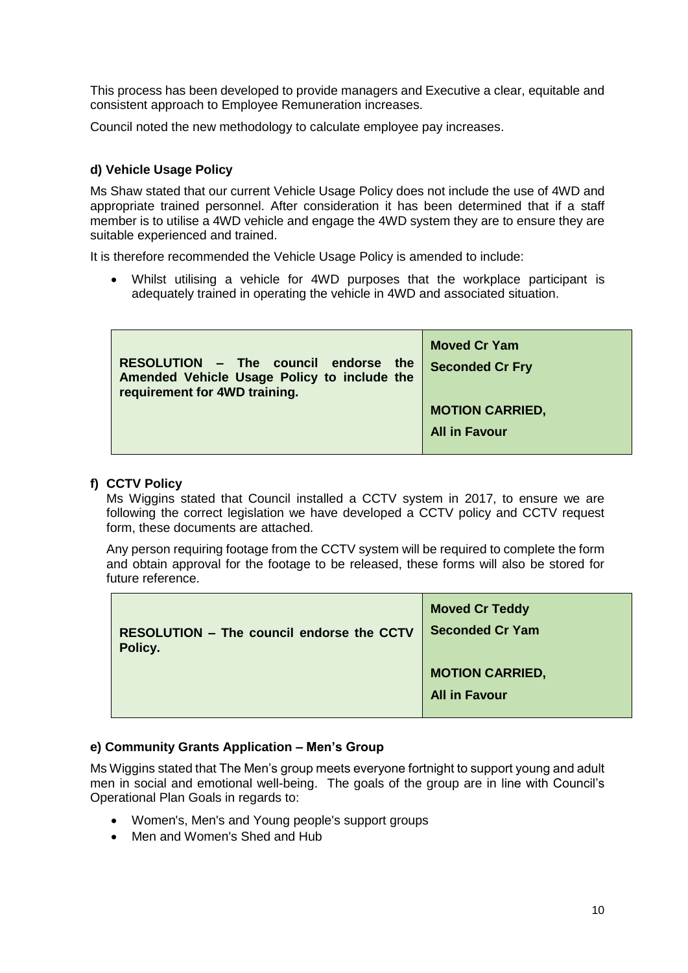This process has been developed to provide managers and Executive a clear, equitable and consistent approach to Employee Remuneration increases.

Council noted the new methodology to calculate employee pay increases.

# **d) Vehicle Usage Policy**

Ms Shaw stated that our current Vehicle Usage Policy does not include the use of 4WD and appropriate trained personnel. After consideration it has been determined that if a staff member is to utilise a 4WD vehicle and engage the 4WD system they are to ensure they are suitable experienced and trained.

It is therefore recommended the Vehicle Usage Policy is amended to include:

 Whilst utilising a vehicle for 4WD purposes that the workplace participant is adequately trained in operating the vehicle in 4WD and associated situation.

| RESOLUTION - The council endorse<br>the<br>Amended Vehicle Usage Policy to include the<br>requirement for 4WD training. | <b>Moved Cr Yam</b><br><b>Seconded Cr Fry</b> |
|-------------------------------------------------------------------------------------------------------------------------|-----------------------------------------------|
|                                                                                                                         | <b>MOTION CARRIED,</b>                        |
|                                                                                                                         | <b>All in Favour</b>                          |
|                                                                                                                         |                                               |

# **f) CCTV Policy**

Ms Wiggins stated that Council installed a CCTV system in 2017, to ensure we are following the correct legislation we have developed a CCTV policy and CCTV request form, these documents are attached.

Any person requiring footage from the CCTV system will be required to complete the form and obtain approval for the footage to be released, these forms will also be stored for future reference.

|                                                  | <b>Moved Cr Teddy</b>  |
|--------------------------------------------------|------------------------|
| <b>RESOLUTION - The council endorse the CCTV</b> | <b>Seconded Cr Yam</b> |
| Policy.                                          |                        |
|                                                  | <b>MOTION CARRIED,</b> |
|                                                  | <b>All in Favour</b>   |
|                                                  |                        |

## **e) Community Grants Application – Men's Group**

Ms Wiggins stated that The Men's group meets everyone fortnight to support young and adult men in social and emotional well-being. The goals of the group are in line with Council's Operational Plan Goals in regards to:

- Women's, Men's and Young people's support groups
- Men and Women's Shed and Hub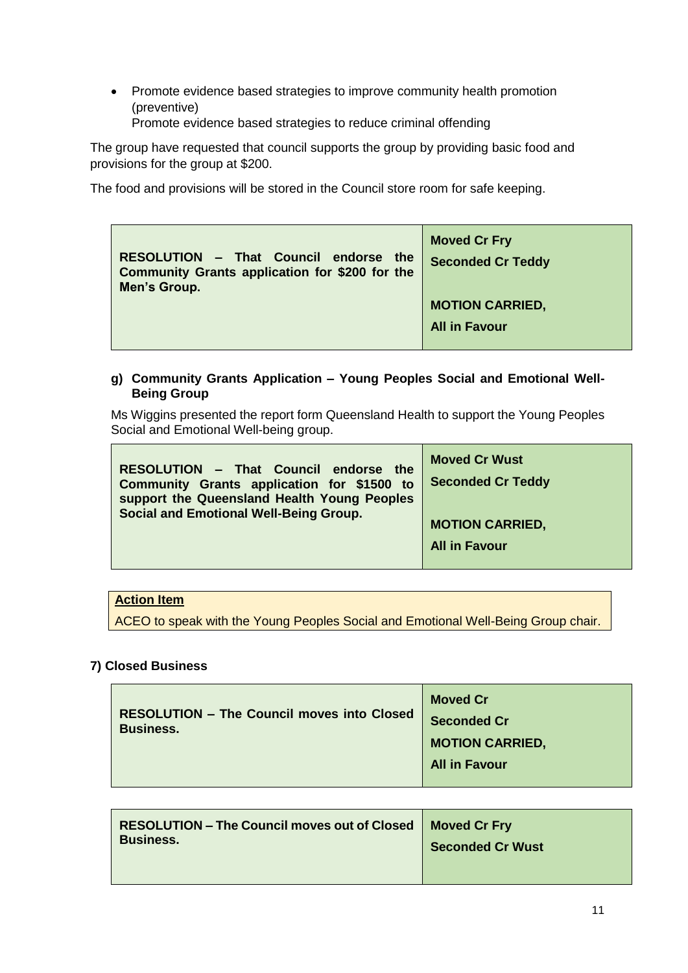• Promote evidence based strategies to improve community health promotion (preventive)

Promote evidence based strategies to reduce criminal offending

The group have requested that council supports the group by providing basic food and provisions for the group at \$200.

The food and provisions will be stored in the Council store room for safe keeping.

| RESOLUTION - That Council endorse the<br>Community Grants application for \$200 for the | <b>Moved Cr Fry</b><br><b>Seconded Cr Teddy</b> |
|-----------------------------------------------------------------------------------------|-------------------------------------------------|
| Men's Group.                                                                            |                                                 |
|                                                                                         | <b>MOTION CARRIED,</b>                          |
|                                                                                         | <b>All in Favour</b>                            |
|                                                                                         |                                                 |

# **g) Community Grants Application – Young Peoples Social and Emotional Well-Being Group**

Ms Wiggins presented the report form Queensland Health to support the Young Peoples Social and Emotional Well-being group.

| RESOLUTION - That Council endorse the         | <b>Moved Cr Wust</b>     |
|-----------------------------------------------|--------------------------|
| Community Grants application for \$1500 to    | <b>Seconded Cr Teddy</b> |
| support the Queensland Health Young Peoples   | <b>MOTION CARRIED,</b>   |
| <b>Social and Emotional Well-Being Group.</b> | <b>All in Favour</b>     |

# **Action Item**

ACEO to speak with the Young Peoples Social and Emotional Well-Being Group chair.

# **7) Closed Business**

|                                                                       | <b>Moved Cr</b>        |
|-----------------------------------------------------------------------|------------------------|
| <b>RESOLUTION - The Council moves into Closed</b><br><b>Business.</b> | <b>Seconded Cr</b>     |
|                                                                       | <b>MOTION CARRIED,</b> |
|                                                                       | <b>All in Favour</b>   |
|                                                                       |                        |

| <b>RESOLUTION - The Council moves out of Closed   Moved Cr Fry</b> |                         |
|--------------------------------------------------------------------|-------------------------|
| <b>Business.</b>                                                   | <b>Seconded Cr Wust</b> |
|                                                                    |                         |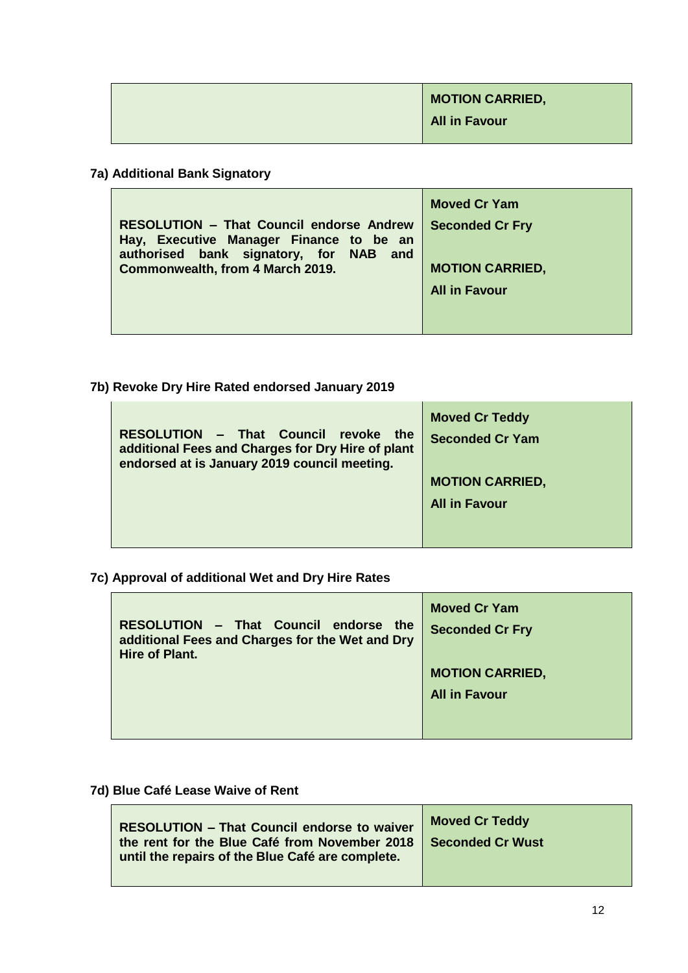| <b>MOTION CARRIED,</b> |
|------------------------|
| <b>All in Favour</b>   |

**7a) Additional Bank Signatory**

|                                                                                                                                      | <b>Moved Cr Yam</b>    |
|--------------------------------------------------------------------------------------------------------------------------------------|------------------------|
| <b>RESOLUTION - That Council endorse Andrew</b><br>Hay, Executive Manager Finance to be an<br>authorised bank signatory, for NAB and | <b>Seconded Cr Fry</b> |
| Commonwealth, from 4 March 2019.                                                                                                     | <b>MOTION CARRIED,</b> |
|                                                                                                                                      | <b>All in Favour</b>   |
|                                                                                                                                      |                        |
|                                                                                                                                      |                        |

**7b) Revoke Dry Hire Rated endorsed January 2019**

| RESOLUTION - That Council revoke the<br>additional Fees and Charges for Dry Hire of plant<br>endorsed at is January 2019 council meeting. | <b>Moved Cr Teddy</b><br><b>Seconded Cr Yam</b> |
|-------------------------------------------------------------------------------------------------------------------------------------------|-------------------------------------------------|
|                                                                                                                                           | <b>MOTION CARRIED,</b>                          |
|                                                                                                                                           | <b>All in Favour</b>                            |
|                                                                                                                                           |                                                 |
|                                                                                                                                           |                                                 |

**7c) Approval of additional Wet and Dry Hire Rates**

| RESOLUTION - That Council endorse the<br>additional Fees and Charges for the Wet and Dry<br><b>Hire of Plant.</b> | <b>Moved Cr Yam</b><br><b>Seconded Cr Fry</b> |
|-------------------------------------------------------------------------------------------------------------------|-----------------------------------------------|
|                                                                                                                   | <b>MOTION CARRIED,</b>                        |
|                                                                                                                   | <b>All in Favour</b>                          |
|                                                                                                                   |                                               |
|                                                                                                                   |                                               |

**7d) Blue Café Lease Waive of Rent**

| <b>RESOLUTION - That Council endorse to waiver</b><br>the rent for the Blue Café from November 2018   Seconded Cr Wust<br>until the repairs of the Blue Café are complete. | <b>Moved Cr Teddy</b> |
|----------------------------------------------------------------------------------------------------------------------------------------------------------------------------|-----------------------|
|                                                                                                                                                                            |                       |

÷